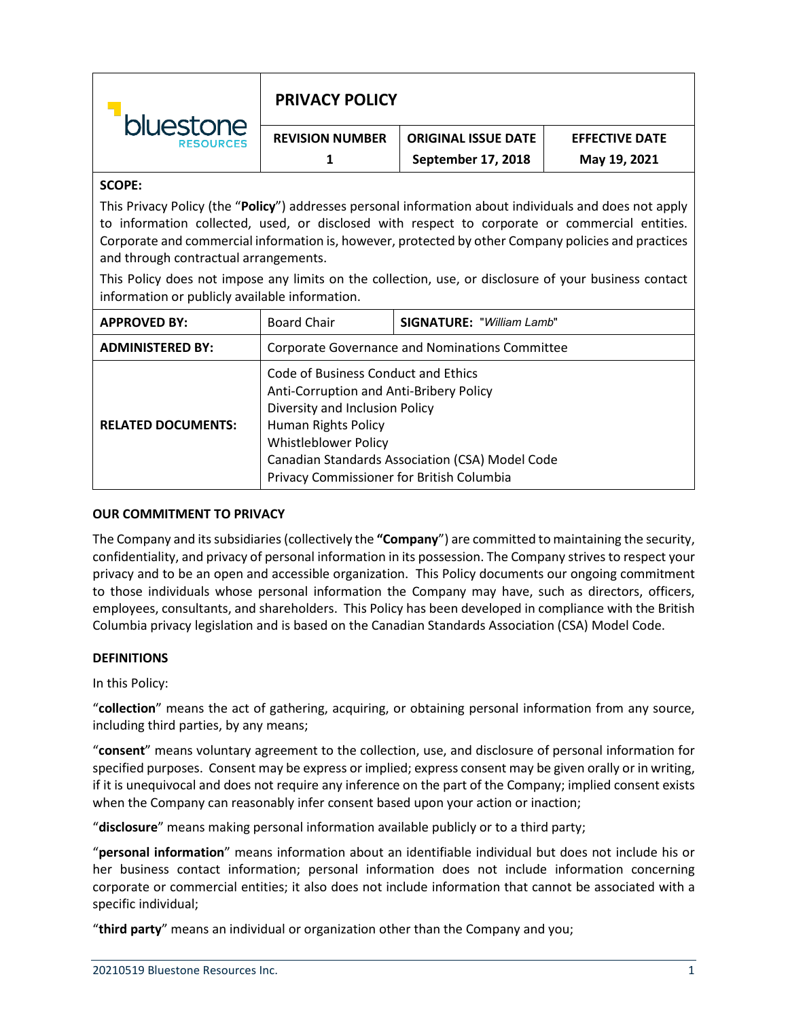| <b>bluestone</b><br><b>RESOURCES</b> | <b>PRIVACY POLICY</b>  |                            |                       |
|--------------------------------------|------------------------|----------------------------|-----------------------|
|                                      | <b>REVISION NUMBER</b> | <b>ORIGINAL ISSUE DATE</b> | <b>EFFECTIVE DATE</b> |
|                                      |                        | September 17, 2018         | May 19, 2021          |

# **SCOPE:**

This Privacy Policy (the "**Policy**") addresses personal information about individuals and does not apply to information collected, used, or disclosed with respect to corporate or commercial entities. Corporate and commercial information is, however, protected by other Company policies and practices and through contractual arrangements.

This Policy does not impose any limits on the collection, use, or disclosure of your business contact information or publicly available information.

| <b>APPROVED BY:</b>       | <b>Board Chair</b>                                                                                                                                                                                                                                                     | <b>SIGNATURE: "William Lamb"</b> |  |
|---------------------------|------------------------------------------------------------------------------------------------------------------------------------------------------------------------------------------------------------------------------------------------------------------------|----------------------------------|--|
| <b>ADMINISTERED BY:</b>   | Corporate Governance and Nominations Committee                                                                                                                                                                                                                         |                                  |  |
| <b>RELATED DOCUMENTS:</b> | Code of Business Conduct and Ethics<br>Anti-Corruption and Anti-Bribery Policy<br>Diversity and Inclusion Policy<br>Human Rights Policy<br><b>Whistleblower Policy</b><br>Canadian Standards Association (CSA) Model Code<br>Privacy Commissioner for British Columbia |                                  |  |

### **OUR COMMITMENT TO PRIVACY**

The Company and its subsidiaries (collectively the **"Company**") are committed to maintaining the security, confidentiality, and privacy of personal information in its possession. The Company strives to respect your privacy and to be an open and accessible organization. This Policy documents our ongoing commitment to those individuals whose personal information the Company may have, such as directors, officers, employees, consultants, and shareholders. This Policy has been developed in compliance with the British Columbia privacy legislation and is based on the Canadian Standards Association (CSA) Model Code.

# **DEFINITIONS**

# In this Policy:

"**collection**" means the act of gathering, acquiring, or obtaining personal information from any source, including third parties, by any means;

"**consent**" means voluntary agreement to the collection, use, and disclosure of personal information for specified purposes. Consent may be express or implied; express consent may be given orally or in writing, if it is unequivocal and does not require any inference on the part of the Company; implied consent exists when the Company can reasonably infer consent based upon your action or inaction;

"**disclosure**" means making personal information available publicly or to a third party;

"**personal information**" means information about an identifiable individual but does not include his or her business contact information; personal information does not include information concerning corporate or commercial entities; it also does not include information that cannot be associated with a specific individual;

"**third party**" means an individual or organization other than the Company and you;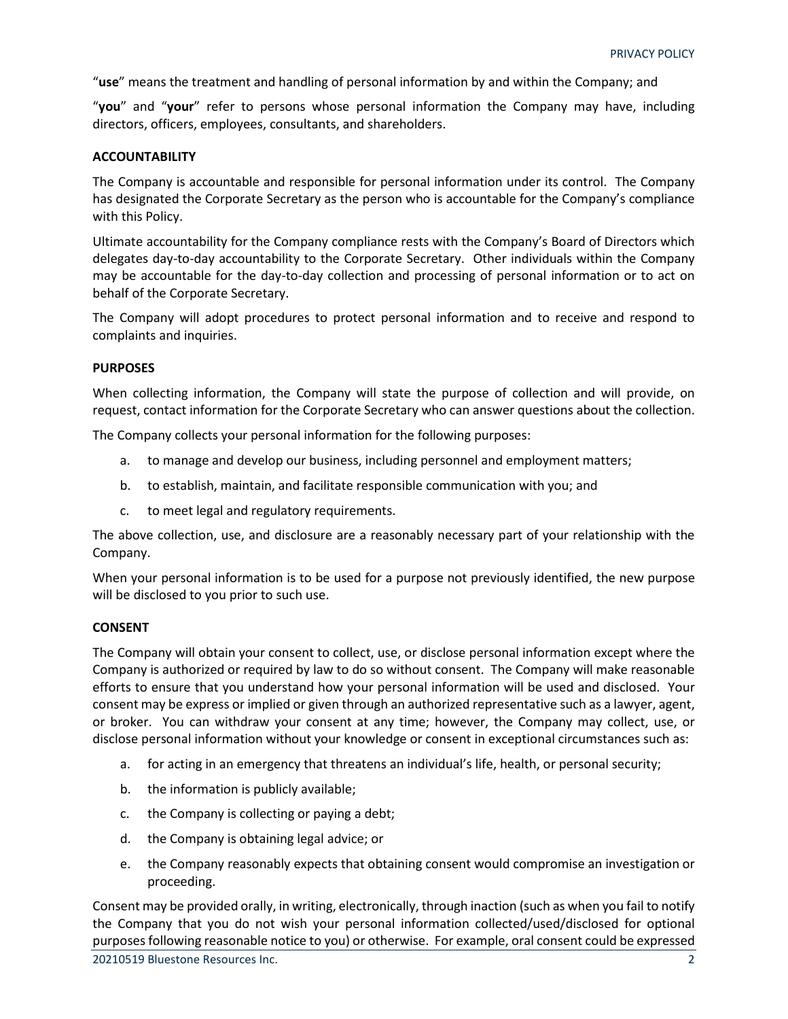"**use**" means the treatment and handling of personal information by and within the Company; and

"**you**" and "**your**" refer to persons whose personal information the Company may have, including directors, officers, employees, consultants, and shareholders.

### **ACCOUNTABILITY**

The Company is accountable and responsible for personal information under its control. The Company has designated the Corporate Secretary as the person who is accountable for the Company's compliance with this Policy.

Ultimate accountability for the Company compliance rests with the Company's Board of Directors which delegates day-to-day accountability to the Corporate Secretary. Other individuals within the Company may be accountable for the day-to-day collection and processing of personal information or to act on behalf of the Corporate Secretary.

The Company will adopt procedures to protect personal information and to receive and respond to complaints and inquiries.

# **PURPOSES**

When collecting information, the Company will state the purpose of collection and will provide, on request, contact information for the Corporate Secretary who can answer questions about the collection.

The Company collects your personal information for the following purposes:

- a. to manage and develop our business, including personnel and employment matters;
- b. to establish, maintain, and facilitate responsible communication with you; and
- c. to meet legal and regulatory requirements.

The above collection, use, and disclosure are a reasonably necessary part of your relationship with the Company.

When your personal information is to be used for a purpose not previously identified, the new purpose will be disclosed to you prior to such use.

#### **CONSENT**

The Company will obtain your consent to collect, use, or disclose personal information except where the Company is authorized or required by law to do so without consent. The Company will make reasonable efforts to ensure that you understand how your personal information will be used and disclosed. Your consent may be express or implied or given through an authorized representative such as a lawyer, agent, or broker. You can withdraw your consent at any time; however, the Company may collect, use, or disclose personal information without your knowledge or consent in exceptional circumstances such as:

- a. for acting in an emergency that threatens an individual's life, health, or personal security;
- b. the information is publicly available;
- c. the Company is collecting or paying a debt;
- d. the Company is obtaining legal advice; or
- e. the Company reasonably expects that obtaining consent would compromise an investigation or proceeding.

Consent may be provided orally, in writing, electronically, through inaction (such as when you fail to notify the Company that you do not wish your personal information collected/used/disclosed for optional purposes following reasonable notice to you) or otherwise. For example, oral consent could be expressed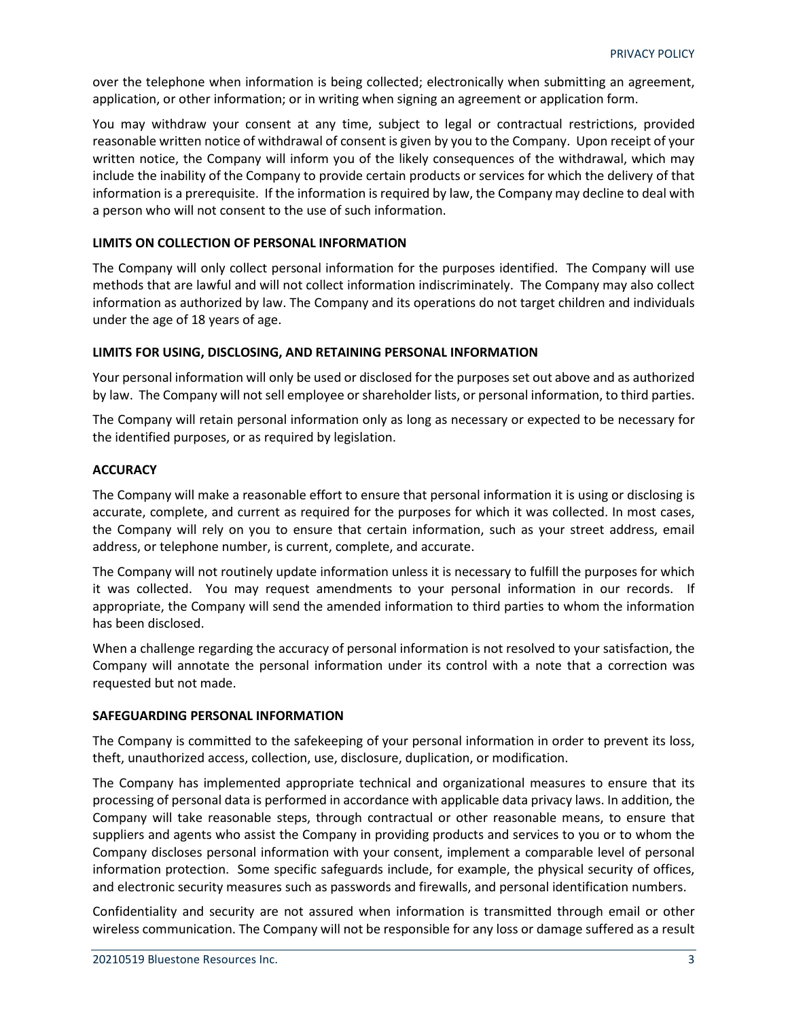over the telephone when information is being collected; electronically when submitting an agreement, application, or other information; or in writing when signing an agreement or application form.

You may withdraw your consent at any time, subject to legal or contractual restrictions, provided reasonable written notice of withdrawal of consent is given by you to the Company. Upon receipt of your written notice, the Company will inform you of the likely consequences of the withdrawal, which may include the inability of the Company to provide certain products or services for which the delivery of that information is a prerequisite. If the information is required by law, the Company may decline to deal with a person who will not consent to the use of such information.

# **LIMITS ON COLLECTION OF PERSONAL INFORMATION**

The Company will only collect personal information for the purposes identified. The Company will use methods that are lawful and will not collect information indiscriminately. The Company may also collect information as authorized by law. The Company and its operations do not target children and individuals under the age of 18 years of age.

### **LIMITS FOR USING, DISCLOSING, AND RETAINING PERSONAL INFORMATION**

Your personal information will only be used or disclosed for the purposes set out above and as authorized by law. The Company will not sell employee or shareholder lists, or personal information, to third parties.

The Company will retain personal information only as long as necessary or expected to be necessary for the identified purposes, or as required by legislation.

### **ACCURACY**

The Company will make a reasonable effort to ensure that personal information it is using or disclosing is accurate, complete, and current as required for the purposes for which it was collected. In most cases, the Company will rely on you to ensure that certain information, such as your street address, email address, or telephone number, is current, complete, and accurate.

The Company will not routinely update information unless it is necessary to fulfill the purposes for which it was collected. You may request amendments to your personal information in our records. If appropriate, the Company will send the amended information to third parties to whom the information has been disclosed.

When a challenge regarding the accuracy of personal information is not resolved to your satisfaction, the Company will annotate the personal information under its control with a note that a correction was requested but not made.

#### **SAFEGUARDING PERSONAL INFORMATION**

The Company is committed to the safekeeping of your personal information in order to prevent its loss, theft, unauthorized access, collection, use, disclosure, duplication, or modification.

The Company has implemented appropriate technical and organizational measures to ensure that its processing of personal data is performed in accordance with applicable data privacy laws. In addition, the Company will take reasonable steps, through contractual or other reasonable means, to ensure that suppliers and agents who assist the Company in providing products and services to you or to whom the Company discloses personal information with your consent, implement a comparable level of personal information protection. Some specific safeguards include, for example, the physical security of offices, and electronic security measures such as passwords and firewalls, and personal identification numbers.

Confidentiality and security are not assured when information is transmitted through email or other wireless communication. The Company will not be responsible for any loss or damage suffered as a result